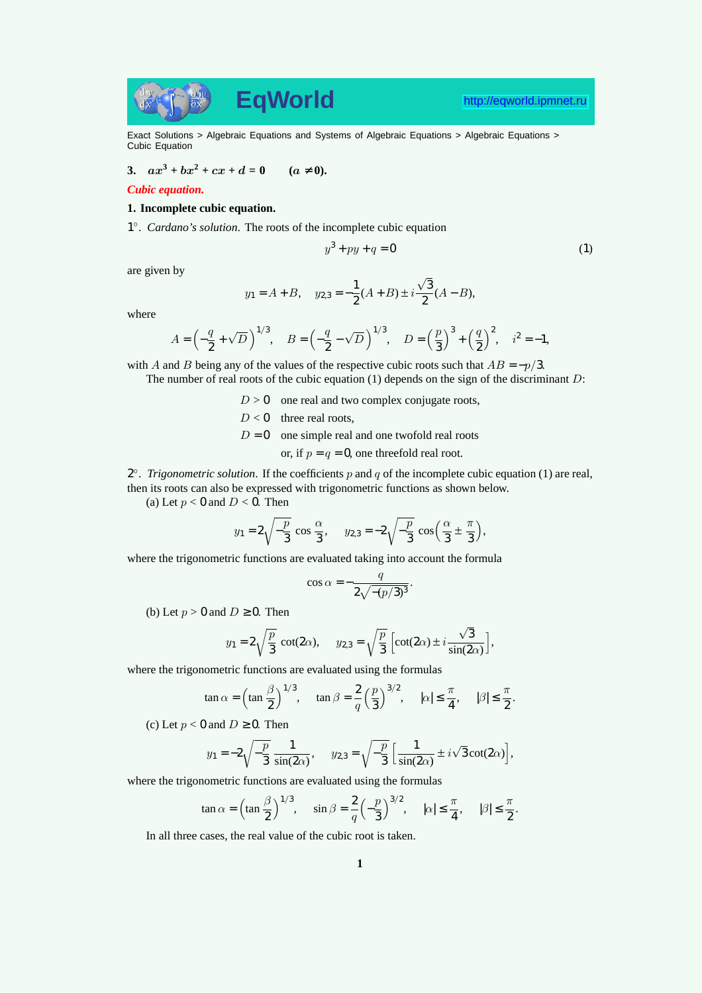

Exact Solutions > Algebraic Equations and Systems of Algebraic Equations > Algebraic Equations > Cubic Equation

**3.**  $ax^3 + bx^2 + cx + d = 0$   $(a \neq 0)$ .

## *Cubic equation.*

## **1. Incomplete cubic equation.**

1 ◦ . *Cardano's solution*. The roots of the incomplete cubic equation

$$
y^3 + py + q = 0 \tag{1}
$$

are given by

$$
y_1 = A + B
$$
,  $y_{2,3} = -\frac{1}{2}(A + B) \pm i\frac{\sqrt{3}}{2}(A - B)$ ,

where

$$
A = \left(-\frac{q}{2} + \sqrt{D}\right)^{1/3}, \quad B = \left(-\frac{q}{2} - \sqrt{D}\right)^{1/3}, \quad D = \left(\frac{p}{3}\right)^3 + \left(\frac{q}{2}\right)^2, \quad i^2 = -1,
$$

with A and B being any of the values of the respective cubic roots such that  $AB = -p/3$ .

The number of real roots of the cubic equation  $(1)$  depends on the sign of the discriminant  $D$ :

 $D > 0$  one real and two complex conjugate roots,

 $D < 0$  three real roots,

 $D = 0$  one simple real and one twofold real roots

or, if  $p = q = 0$ , one threefold real root.

 $2^{\circ}$ . *Trigonometric solution*. If the coefficients p and q of the incomplete cubic equation (1) are real, then its roots can also be expressed with trigonometric functions as shown below.

(a) Let  $p < 0$  and  $D < 0$ . Then

$$
y_1 = 2\sqrt{-\frac{p}{3}}\cos{\frac{\alpha}{3}}, \quad y_{2,3} = -2\sqrt{-\frac{p}{3}}\cos{\left(\frac{\alpha}{3} \pm \frac{\pi}{3}\right)},
$$

where the trigonometric functions are evaluated taking into account the formula

$$
\cos \alpha = -\frac{q}{2\sqrt{-(p/3)^3}}.
$$

(b) Let  $p > 0$  and  $D \ge 0$ . Then

$$
y_1 = 2\sqrt{\frac{p}{3}} \cot(2\alpha), \quad y_{2,3} = \sqrt{\frac{p}{3}} \left[ \cot(2\alpha) \pm i \frac{\sqrt{3}}{\sin(2\alpha)} \right],
$$

where the trigonometric functions are evaluated using the formulas

$$
\tan \alpha = \left(\tan \frac{\beta}{2}\right)^{1/3}, \quad \tan \beta = \frac{2}{q} \left(\frac{p}{3}\right)^{3/2}, \quad |\alpha| \le \frac{\pi}{4}, \quad |\beta| \le \frac{\pi}{2}.
$$

(c) Let  $p < 0$  and  $D \ge 0$ . Then

$$
y_1 = -2\sqrt{-\frac{p}{3}} \frac{1}{\sin(2\alpha)}, \quad y_{2,3} = \sqrt{-\frac{p}{3}} \left[ \frac{1}{\sin(2\alpha)} \pm i\sqrt{3} \cot(2\alpha) \right],
$$

where the trigonometric functions are evaluated using the formulas

$$
\tan \alpha = \left(\tan \frac{\beta}{2}\right)^{1/3}, \quad \sin \beta = \frac{2}{q} \left(-\frac{p}{3}\right)^{3/2}, \quad |\alpha| \le \frac{\pi}{4}, \quad |\beta| \le \frac{\pi}{2}.
$$

In all three cases, the real value of the cubic root is taken.